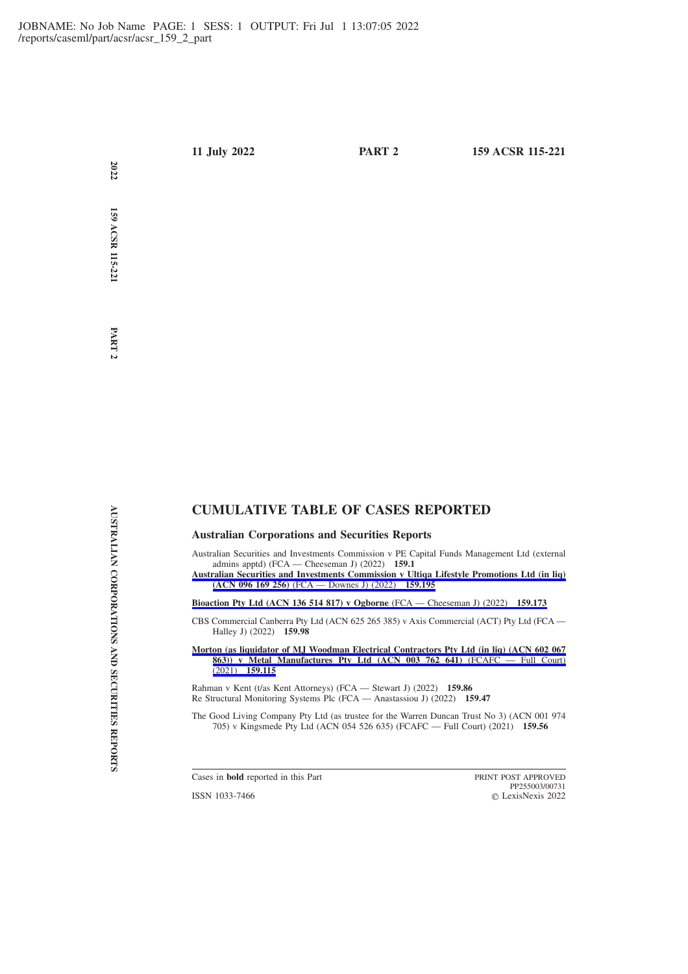**159 ACSR 115-221**

**2022**

# **CUMULATIVE TABLE OF CASES REPORTED**

**Australian Corporations and Securities Reports**

Australian Securities and Investments Commission v PE Capital Funds Management Ltd (external admins apptd) (FCA — Cheeseman J) (2022) **159.1**

**[Australian Securities and Investments Commission v Ultiqa Lifestyle Promotions Ltd \(in liq\)](https://advance.lexis.com/api/permalink/c22a3265-0a87-4ccb-85a6-7b43d405fae4/?context=1201008) (ACN 096 169 256)** [\(FCA — Downes J\) \(2022\)](https://advance.lexis.com/api/permalink/c22a3265-0a87-4ccb-85a6-7b43d405fae4/?context=1201008) **159.195**

**[Bioaction Pty Ltd \(ACN 136 514 817\) v Ogborne](https://advance.lexis.com/api/permalink/5c91377a-238e-486c-8e7b-db0f80037a74/?context=1201008)** (FCA — Cheeseman J) (2022) **159.173**

CBS Commercial Canberra Pty Ltd (ACN 625 265 385) v Axis Commercial (ACT) Pty Ltd (FCA — Halley J) (2022) **159.98**

**[Morton \(as liquidator of MJ Woodman Electrical Contractors Pty Ltd \(in liq\) \(ACN 602 067](https://advance.lexis.com/api/permalink/672b0f78-6ad5-47ad-886a-2cc8582337e3/?context=1201008) [863\)\) v Metal Manufactures Pty Ltd \(ACN 003 762 641\)](https://advance.lexis.com/api/permalink/672b0f78-6ad5-47ad-886a-2cc8582337e3/?context=1201008)** (FCAFC — Full Court) (2021) **[159.115](https://advance.lexis.com/api/permalink/672b0f78-6ad5-47ad-886a-2cc8582337e3/?context=1201008)**

Rahman v Kent (t/as Kent Attorneys) (FCA — Stewart J) (2022) **159.86** Re Structural Monitoring Systems Plc (FCA — Anastassiou J) (2022) **159.47**

The Good Living Company Pty Ltd (as trustee for the Warren Duncan Trust No 3) (ACN 001 974 705) v Kingsmede Pty Ltd (ACN 054 526 635) (FCAFC — Full Court) (2021) **159.56**

Cases in **bold** reported in this Part PRINT POST APPROVED

ISSN 1033-7466

PP255003/00731 LexisNexis 2022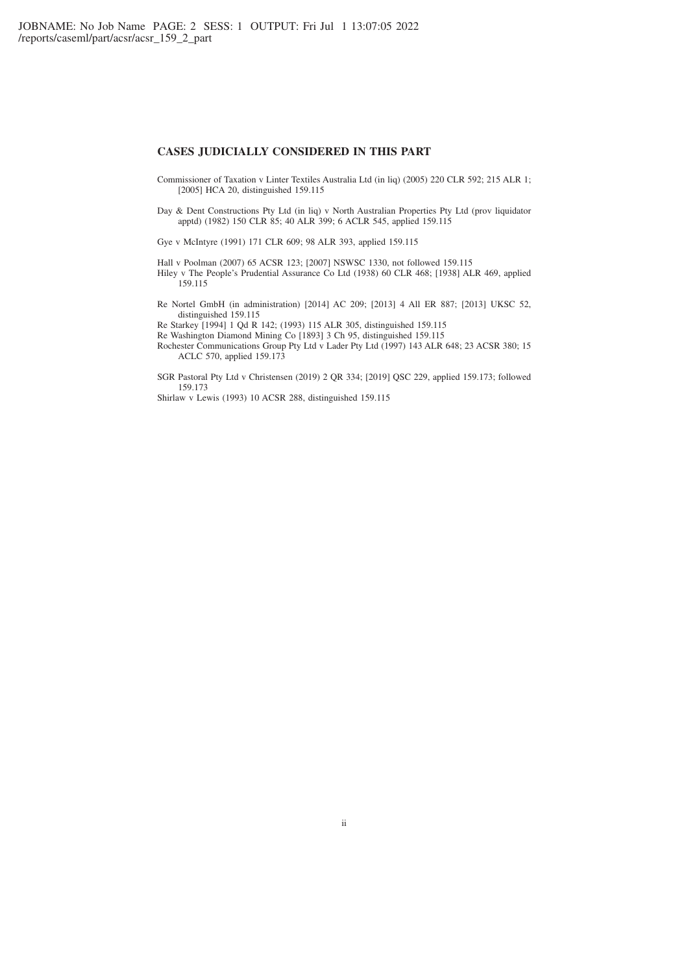## **CASES JUDICIALLY CONSIDERED IN THIS PART**

- Commissioner of Taxation v Linter Textiles Australia Ltd (in liq) (2005) 220 CLR 592; 215 ALR 1; [2005] HCA 20, distinguished 159.115
- Day & Dent Constructions Pty Ltd (in liq) v North Australian Properties Pty Ltd (prov liquidator apptd) (1982) 150 CLR 85; 40 ALR 399; 6 ACLR 545, applied 159.115

Gye v McIntyre (1991) 171 CLR 609; 98 ALR 393, applied 159.115

Hall v Poolman (2007) 65 ACSR 123; [2007] NSWSC 1330, not followed 159.115 Hiley v The People's Prudential Assurance Co Ltd (1938) 60 CLR 468; [1938] ALR 469, applied 159.115

Re Nortel GmbH (in administration) [2014] AC 209; [2013] 4 All ER 887; [2013] UKSC 52, distinguished 159.115

Re Starkey [1994] 1 Qd R 142; (1993) 115 ALR 305, distinguished 159.115

Re Washington Diamond Mining Co [1893] 3 Ch 95, distinguished 159.115

Rochester Communications Group Pty Ltd v Lader Pty Ltd (1997) 143 ALR 648; 23 ACSR 380; 15 ACLC 570, applied 159.173

SGR Pastoral Pty Ltd v Christensen (2019) 2 QR 334; [2019] QSC 229, applied 159.173; followed 159.173

Shirlaw v Lewis (1993) 10 ACSR 288, distinguished 159.115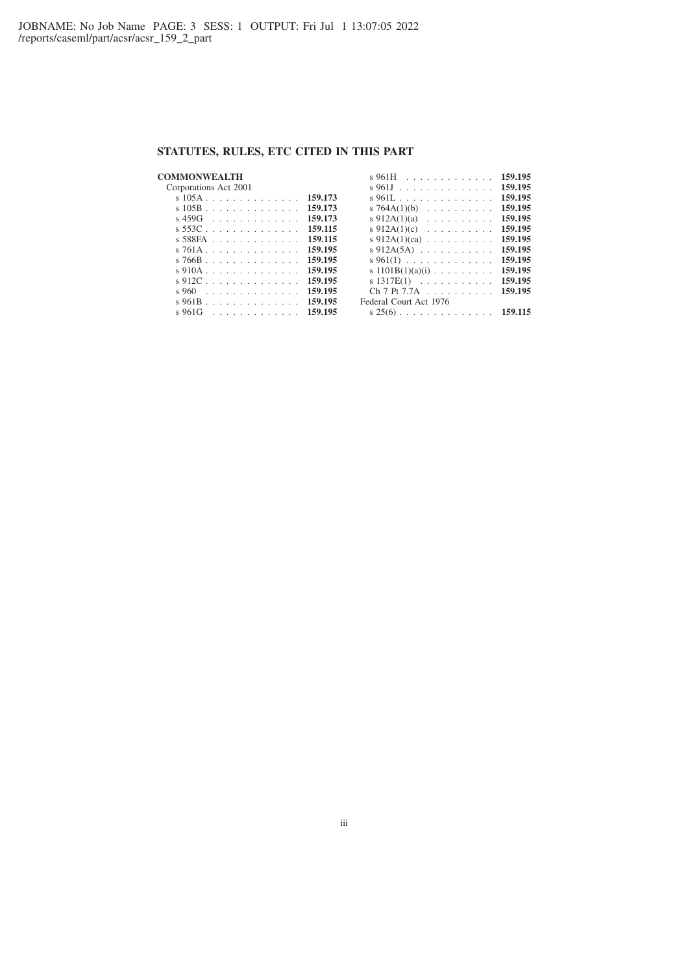# **STATUTES, RULES, ETC CITED IN THIS PART**

## **COMMONWEALTH**

#### Corporations Act 2001 s 105A .............. **159.173** s 105B .............. **159.173** s 459G ............. **159.173** s 553C .............. **159.115** s 588FA ............. **159.115** s 761A .............. **159.195** s 766B .............. **159.195** s 910A .............. **159.195** s 912C .............. **159.195** s 960 . . . . . . . . . . . . . . **159.195** s 961B .............. **159.195** s 961G ............. **159.195** s 961H ............. **159.195** s 961J .............. **159.195** s 961L .............. **159.195** s 764A(1)(b) .......... **159.195** s 912A(1)(a) .......... **159.195** s 912A(1)(c) .......... **159.195** s 912A(1)(ca) .......... **159.195** s 912A(5A) ........... **159.195** s 961(1) ............. **159.195** s 1101B(1)(a)(i) ......... **159.195** s 1317E(1) ........... **159.195** Ch 7 Pt 7.7A .......... **159.195** Federal Court Act 1976 s 25(6) .............. **159.115**